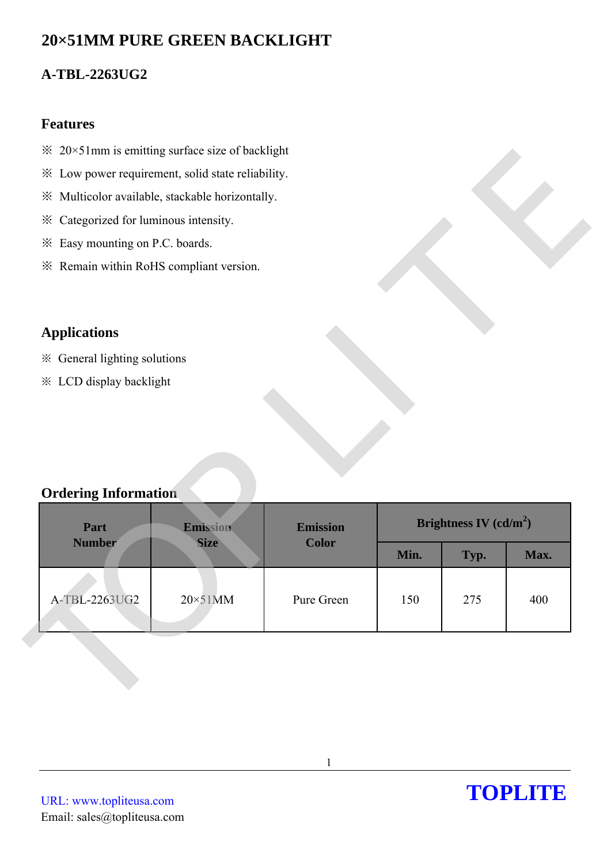# **20×51MM PURE GREEN BACKLIGHT**

# **A-TBL-2263UG2**

#### **Features**

- $\frac{30}{20}$  20×51mm is emitting surface size of backlight
- ※ Low power requirement, solid state reliability.
- ※ Multicolor available, stackable horizontally.
- ※ Categorized for luminous intensity.
- ※ Easy mounting on P.C. boards.
- ※ Remain within RoHS compliant version.

## **Applications**

- ※ General lighting solutions
- ※ LCD display backlight

### **Ordering Information**

| * Low power requirement, solid state reliability. |                 |                 |      |                          |      |
|---------------------------------------------------|-----------------|-----------------|------|--------------------------|------|
| ※ Multicolor available, stackable horizontally.   |                 |                 |      |                          |      |
| * Categorized for luminous intensity.             |                 |                 |      |                          |      |
| * Easy mounting on P.C. boards.                   |                 |                 |      |                          |      |
| * Remain within RoHS compliant version.           |                 |                 |      |                          |      |
|                                                   |                 |                 |      |                          |      |
|                                                   |                 |                 |      |                          |      |
| <b>Applications</b>                               |                 |                 |      |                          |      |
| ※ General lighting solutions                      |                 |                 |      |                          |      |
| <b>※ LCD display backlight</b>                    |                 |                 |      |                          |      |
|                                                   |                 |                 |      |                          |      |
|                                                   |                 |                 |      |                          |      |
|                                                   |                 |                 |      |                          |      |
| <b>Ordering Information</b><br>Part               | Emission        | <b>Emission</b> |      | Brightness IV $(cd/m^2)$ |      |
| <b>Number</b>                                     | <b>Size</b>     | <b>Color</b>    | Min. | Typ.                     | Max. |
|                                                   |                 |                 |      |                          |      |
| A-TBL-2263UG2                                     | $20\times51$ MM | Pure Green      | 150  | 275                      | 400  |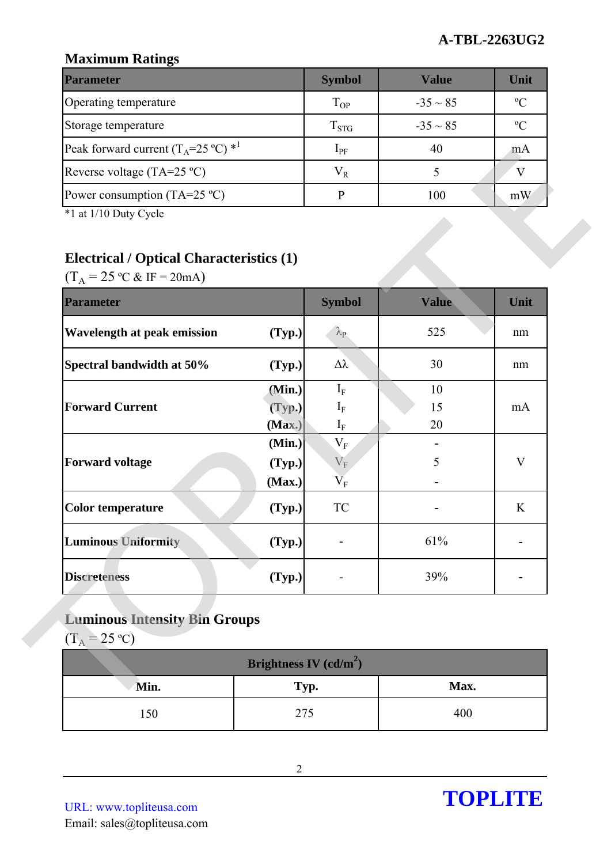### **Maximum Ratings**

| <b>Parameter</b>                                        | <b>Symbol</b> | Value         | Unit          |
|---------------------------------------------------------|---------------|---------------|---------------|
| Operating temperature                                   | $T_{OP}$      | $-35 \sim 85$ | $\mathcal{C}$ |
| Storage temperature                                     | $T_{STG}$     | $-35 \sim 85$ | $\rm ^{o}C$   |
| Peak forward current $(T_A=25 \degree C)$ <sup>*1</sup> | $1_{\rm PF}$  | 40            | mA            |
| Reverse voltage (TA=25 $^{\circ}$ C)                    | $\rm V_R$     |               |               |
| Power consumption (TA=25 $^{\circ}$ C)                  |               | 100           | mW            |

# **Electrical / Optical Characteristics (1)**

| I CAN TOI WATU CUITCIII ( $1_A$ – $2J$ C)                                                                                         |                          | $\mathbf{r}$ <sub>b</sub> | πv           | шд   |
|-----------------------------------------------------------------------------------------------------------------------------------|--------------------------|---------------------------|--------------|------|
| Reverse voltage (TA=25 °C)                                                                                                        |                          | $V_R$                     | 5            | V    |
| Power consumption (TA=25 $^{\circ}$ C)                                                                                            |                          | $\mathbf{P}$              | 100          | mW   |
| *1 at 1/10 Duty Cycle<br><b>Electrical / Optical Characteristics (1)</b><br>$(T_A = 25 \text{ °C} \& \text{ IF} = 20 \text{ mA})$ |                          |                           |              |      |
| <b>Parameter</b>                                                                                                                  |                          | <b>Symbol</b>             | <b>Value</b> | Unit |
| <b>Wavelength at peak emission</b>                                                                                                | (Typ.)                   | $\lambda_{\rm P}$         | 525          | nm   |
| Spectral bandwidth at 50%                                                                                                         | (Typ.)                   | $\Delta \lambda$          | 30           | nm   |
|                                                                                                                                   | (Min.)                   | $I_F$                     | 10           |      |
| <b>Forward Current</b>                                                                                                            | (Typ.)                   | $I_{\rm F}$               | 15           | mA   |
|                                                                                                                                   | (Max.)                   | $\mathbf{I}_{\rm F}$      | 20           |      |
|                                                                                                                                   | (Min.)                   | $\rm V_F$                 | 5            | V    |
| <b>Forward voltage</b>                                                                                                            | (Typ.)<br>(Max.)         | $\rm V_F$<br>$\rm V_F$    |              |      |
| <b>Color temperature</b>                                                                                                          | (Typ.)                   | <b>TC</b>                 |              | K    |
| <b>Luminous Uniformity</b>                                                                                                        | (Typ.)                   |                           | 61%          |      |
| <b>Discreteness</b>                                                                                                               | (Typ.)                   |                           | 39%          |      |
| <b>Luminous Intensity Bin Groups</b><br>$(T_A = 25 \text{ °C})$                                                                   |                          |                           |              |      |
|                                                                                                                                   | Brightness IV $(cd/m^2)$ |                           |              |      |
| Min.                                                                                                                              | Typ.                     |                           | Max.         |      |
| 150                                                                                                                               | 275                      |                           | 400          |      |

# **Luminous Intensity Bin Groups**

| <b>Brightness IV</b> $(cd/m^2)$ |      |      |  |  |
|---------------------------------|------|------|--|--|
| Min.                            | Typ. | Max. |  |  |
| l 50                            | 275  | 400  |  |  |

URL: www.topliteusa.com Email: sales@topliteusa.com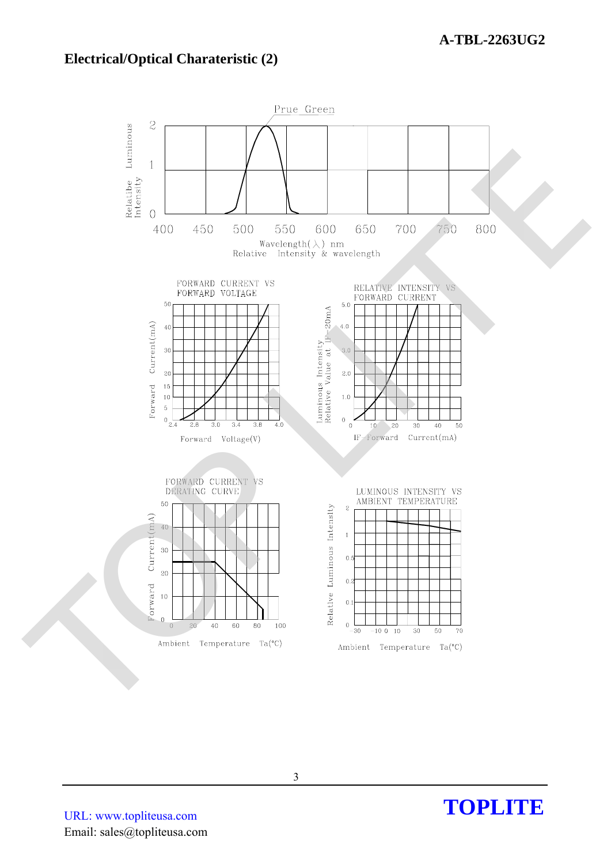### **Electrical/Optical Charateristic (2)**



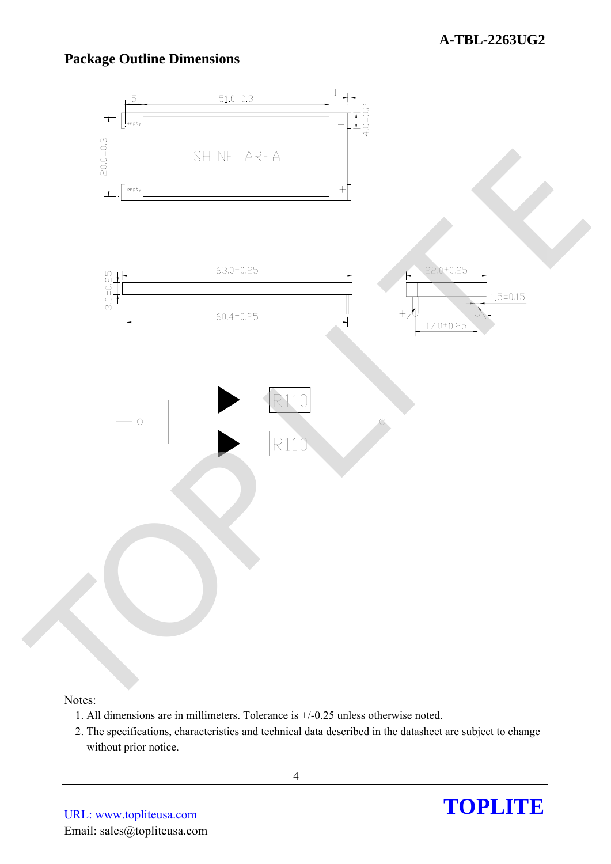# **Package Outline Dimensions**



#### Notes:

- 1. All dimensions are in millimeters. Tolerance is +/-0.25 unless otherwise noted.
- 2. The specifications, characteristics and technical data described in the datasheet are subject to change without prior notice.